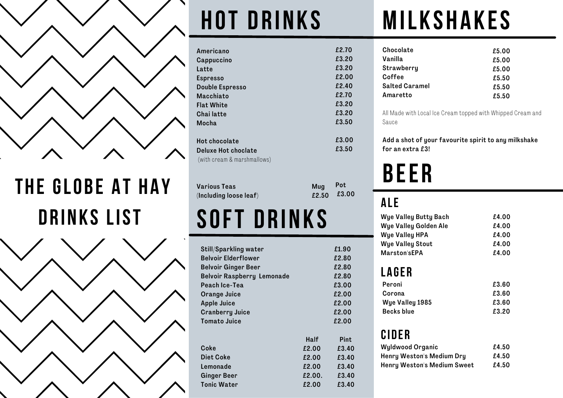

**the Glo b e a t ha y D r inks List Soft D r inks**



# **Hot D r inks**

| Americano                   | £2.70 |
|-----------------------------|-------|
| Cappuccino                  | £3.20 |
| Latte                       | £3.20 |
| <b>Espresso</b>             | £2.00 |
| <b>Double Espresso</b>      | £2.40 |
| Macchiato                   | £2.70 |
| <b>Flat White</b>           | £3.20 |
| Chai latte                  | £3.20 |
| Mocha                       | £3.50 |
| <b>Hot chocolate</b>        | £3.00 |
| Deluxe Hot choclate         | £3.50 |
| (with cream & marshmallows) |       |

| Various Teas           |  |
|------------------------|--|
| (Including loose leaf) |  |

| <b>Still/Sparkling water</b>      |        | £1.90       |
|-----------------------------------|--------|-------------|
| <b>Belvoir Elderflower</b>        |        | £2.80       |
| <b>Belvoir Ginger Beer</b>        |        | £2.80       |
| <b>Belvoir Raspberry Lemonade</b> |        | £2.80       |
| Peach Ice-Tea                     |        | £3.00       |
| <b>Orange Juice</b>               |        | £2.00       |
| <b>Apple Juice</b>                |        | £2.00       |
| <b>Cranberry Juice</b>            |        | £2.00       |
| Tomato Juice                      |        | £2.00       |
|                                   |        |             |
|                                   | Half   | <b>Pint</b> |
| Coke                              | £2.00  | £3.40       |
| Diet Coke                         | £2.00  | £3.40       |
| Lemonade                          | £2.00  | £3.40       |
| <b>Ginger Beer</b>                | £2.00. | £3.40       |
| <b>Tonic Water</b>                | £2.00  | £3.40       |

## **milkshakes**

| Chocolate             | £5.00 |
|-----------------------|-------|
| Vanilla               | £5.00 |
| Strawberry            | £5.00 |
| Coffee                | £5.50 |
| <b>Salted Caramel</b> | £5.50 |
| Amaretto              | £5.50 |

All Made with Local Ice Cream topped with Whipped Cream and Sauce

Add a shot of your favourite spirit to any milkshake for an extra £3!

### **B ee r**

### **A le**

Pot £3.00

Mug £2.50

| <b>Wye Valley Butty Bach</b> | £4.00 |
|------------------------------|-------|
| Wye Valley Golden Ale        | £4.00 |
| Wye Valley HPA               | £4.00 |
| <b>Wye Valley Stout</b>      | £4.00 |
| <b>Marston'sEPA</b>          | £4.00 |
|                              |       |

### **L a ge r**

| Peroni            | £3.60 |
|-------------------|-------|
| Corona            | £3.60 |
| Wye Valley 1985   | £3.60 |
| <b>Becks blue</b> | £3.20 |

### **Ci d e r**

| <b>Wyldwood Organic</b>     | £4.50 |
|-----------------------------|-------|
| Henry Weston's Medium Dry   | £4.50 |
| Henry Weston's Medium Sweet | £4.50 |